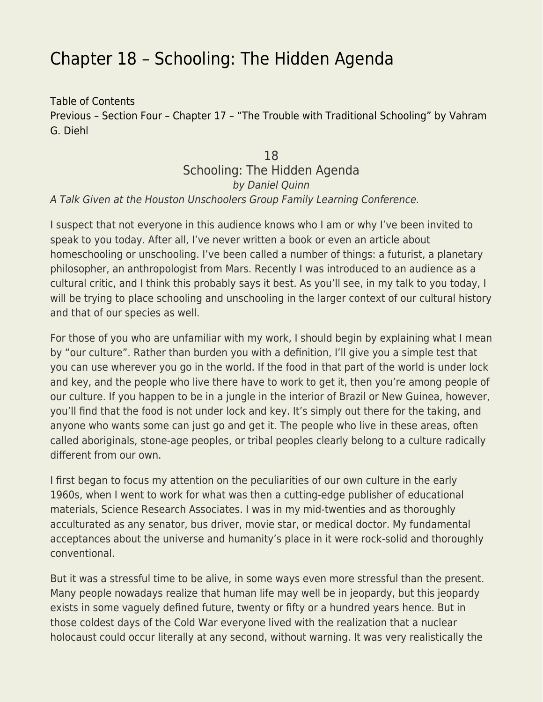## [Chapter 18 – Schooling: The Hidden Agenda](https://everything-voluntary.com/everything-voluntary-chapter-18)

[Table of Contents](http://everything-voluntary.com/p/book-project.html) [Previous – Section Four – Chapter 17 – "The Trouble with Traditional Schooling" by Vahram](http://everything-voluntary.com/2012/05/everything-voluntary-chapter-17.html) [G. Diehl](http://everything-voluntary.com/2012/05/everything-voluntary-chapter-17.html)

18 Schooling: The Hidden Agenda by Daniel Quinn A Talk Given at the Houston Unschoolers Group Family Learning Conference.

I suspect that not everyone in this audience knows who I am or why I've been invited to speak to you today. After all, I've never written a book or even an article about homeschooling or unschooling. I've been called a number of things: a futurist, a planetary philosopher, an anthropologist from Mars. Recently I was introduced to an audience as a cultural critic, and I think this probably says it best. As you'll see, in my talk to you today, I will be trying to place schooling and unschooling in the larger context of our cultural history and that of our species as well.

For those of you who are unfamiliar with my work, I should begin by explaining what I mean by "our culture". Rather than burden you with a definition, I'll give you a simple test that you can use wherever you go in the world. If the food in that part of the world is under lock and key, and the people who live there have to work to get it, then you're among people of our culture. If you happen to be in a jungle in the interior of Brazil or New Guinea, however, you'll find that the food is not under lock and key. It's simply out there for the taking, and anyone who wants some can just go and get it. The people who live in these areas, often called aboriginals, stone-age peoples, or tribal peoples clearly belong to a culture radically different from our own.

I first began to focus my attention on the peculiarities of our own culture in the early 1960s, when I went to work for what was then a cutting-edge publisher of educational materials, Science Research Associates. I was in my mid-twenties and as thoroughly acculturated as any senator, bus driver, movie star, or medical doctor. My fundamental acceptances about the universe and humanity's place in it were rock-solid and thoroughly conventional.

But it was a stressful time to be alive, in some ways even more stressful than the present. Many people nowadays realize that human life may well be in jeopardy, but this jeopardy exists in some vaguely defined future, twenty or fifty or a hundred years hence. But in those coldest days of the Cold War everyone lived with the realization that a nuclear holocaust could occur literally at any second, without warning. It was very realistically the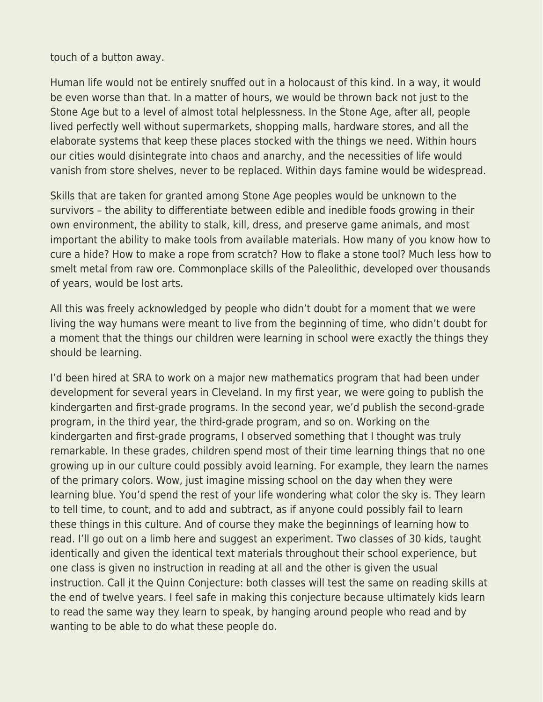## touch of a button away.

Human life would not be entirely snuffed out in a holocaust of this kind. In a way, it would be even worse than that. In a matter of hours, we would be thrown back not just to the Stone Age but to a level of almost total helplessness. In the Stone Age, after all, people lived perfectly well without supermarkets, shopping malls, hardware stores, and all the elaborate systems that keep these places stocked with the things we need. Within hours our cities would disintegrate into chaos and anarchy, and the necessities of life would vanish from store shelves, never to be replaced. Within days famine would be widespread.

Skills that are taken for granted among Stone Age peoples would be unknown to the survivors – the ability to differentiate between edible and inedible foods growing in their own environment, the ability to stalk, kill, dress, and preserve game animals, and most important the ability to make tools from available materials. How many of you know how to cure a hide? How to make a rope from scratch? How to flake a stone tool? Much less how to smelt metal from raw ore. Commonplace skills of the Paleolithic, developed over thousands of years, would be lost arts.

All this was freely acknowledged by people who didn't doubt for a moment that we were living the way humans were meant to live from the beginning of time, who didn't doubt for a moment that the things our children were learning in school were exactly the things they should be learning.

I'd been hired at SRA to work on a major new mathematics program that had been under development for several years in Cleveland. In my first year, we were going to publish the kindergarten and first-grade programs. In the second year, we'd publish the second-grade program, in the third year, the third-grade program, and so on. Working on the kindergarten and first-grade programs, I observed something that I thought was truly remarkable. In these grades, children spend most of their time learning things that no one growing up in our culture could possibly avoid learning. For example, they learn the names of the primary colors. Wow, just imagine missing school on the day when they were learning blue. You'd spend the rest of your life wondering what color the sky is. They learn to tell time, to count, and to add and subtract, as if anyone could possibly fail to learn these things in this culture. And of course they make the beginnings of learning how to read. I'll go out on a limb here and suggest an experiment. Two classes of 30 kids, taught identically and given the identical text materials throughout their school experience, but one class is given no instruction in reading at all and the other is given the usual instruction. Call it the Quinn Conjecture: both classes will test the same on reading skills at the end of twelve years. I feel safe in making this conjecture because ultimately kids learn to read the same way they learn to speak, by hanging around people who read and by wanting to be able to do what these people do.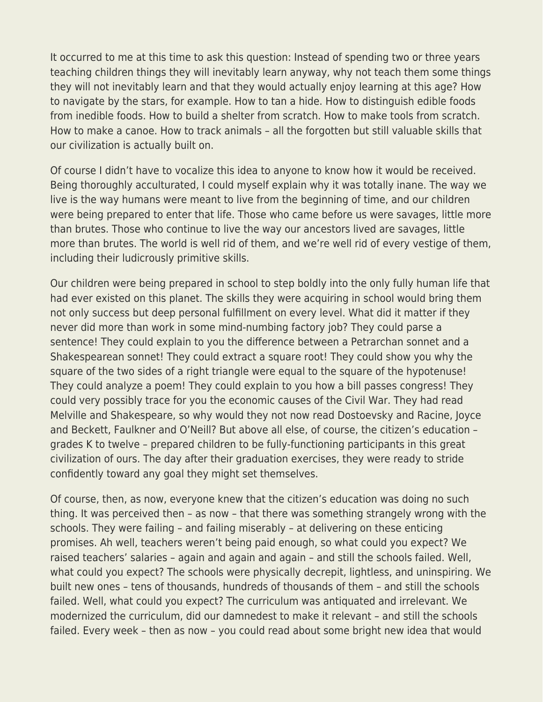It occurred to me at this time to ask this question: Instead of spending two or three years teaching children things they will inevitably learn anyway, why not teach them some things they will not inevitably learn and that they would actually enjoy learning at this age? How to navigate by the stars, for example. How to tan a hide. How to distinguish edible foods from inedible foods. How to build a shelter from scratch. How to make tools from scratch. How to make a canoe. How to track animals – all the forgotten but still valuable skills that our civilization is actually built on.

Of course I didn't have to vocalize this idea to anyone to know how it would be received. Being thoroughly acculturated, I could myself explain why it was totally inane. The way we live is the way humans were meant to live from the beginning of time, and our children were being prepared to enter that life. Those who came before us were savages, little more than brutes. Those who continue to live the way our ancestors lived are savages, little more than brutes. The world is well rid of them, and we're well rid of every vestige of them, including their ludicrously primitive skills.

Our children were being prepared in school to step boldly into the only fully human life that had ever existed on this planet. The skills they were acquiring in school would bring them not only success but deep personal fulfillment on every level. What did it matter if they never did more than work in some mind-numbing factory job? They could parse a sentence! They could explain to you the difference between a Petrarchan sonnet and a Shakespearean sonnet! They could extract a square root! They could show you why the square of the two sides of a right triangle were equal to the square of the hypotenuse! They could analyze a poem! They could explain to you how a bill passes congress! They could very possibly trace for you the economic causes of the Civil War. They had read Melville and Shakespeare, so why would they not now read Dostoevsky and Racine, Joyce and Beckett, Faulkner and O'Neill? But above all else, of course, the citizen's education – grades K to twelve – prepared children to be fully-functioning participants in this great civilization of ours. The day after their graduation exercises, they were ready to stride confidently toward any goal they might set themselves.

Of course, then, as now, everyone knew that the citizen's education was doing no such thing. It was perceived then – as now – that there was something strangely wrong with the schools. They were failing – and failing miserably – at delivering on these enticing promises. Ah well, teachers weren't being paid enough, so what could you expect? We raised teachers' salaries – again and again and again – and still the schools failed. Well, what could you expect? The schools were physically decrepit, lightless, and uninspiring. We built new ones – tens of thousands, hundreds of thousands of them – and still the schools failed. Well, what could you expect? The curriculum was antiquated and irrelevant. We modernized the curriculum, did our damnedest to make it relevant – and still the schools failed. Every week – then as now – you could read about some bright new idea that would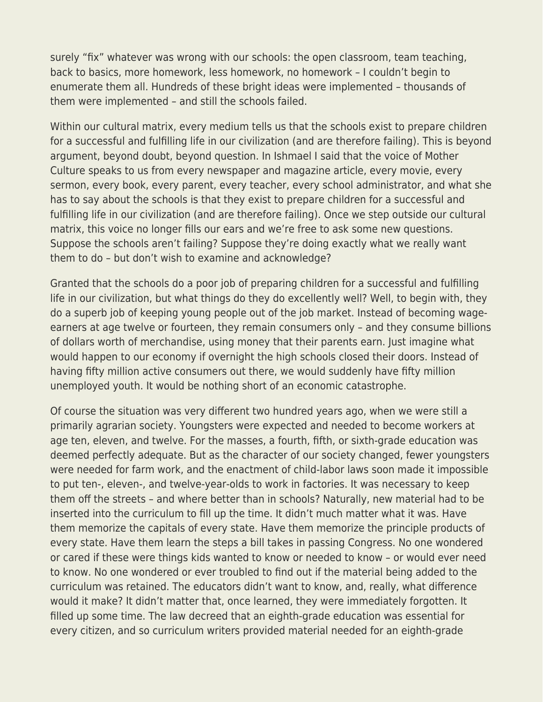surely "fix" whatever was wrong with our schools: the open classroom, team teaching, back to basics, more homework, less homework, no homework – I couldn't begin to enumerate them all. Hundreds of these bright ideas were implemented – thousands of them were implemented – and still the schools failed.

Within our cultural matrix, every medium tells us that the schools exist to prepare children for a successful and fulfilling life in our civilization (and are therefore failing). This is beyond argument, beyond doubt, beyond question. In Ishmael I said that the voice of Mother Culture speaks to us from every newspaper and magazine article, every movie, every sermon, every book, every parent, every teacher, every school administrator, and what she has to say about the schools is that they exist to prepare children for a successful and fulfilling life in our civilization (and are therefore failing). Once we step outside our cultural matrix, this voice no longer fills our ears and we're free to ask some new questions. Suppose the schools aren't failing? Suppose they're doing exactly what we really want them to do – but don't wish to examine and acknowledge?

Granted that the schools do a poor job of preparing children for a successful and fulfilling life in our civilization, but what things do they do excellently well? Well, to begin with, they do a superb job of keeping young people out of the job market. Instead of becoming wageearners at age twelve or fourteen, they remain consumers only – and they consume billions of dollars worth of merchandise, using money that their parents earn. Just imagine what would happen to our economy if overnight the high schools closed their doors. Instead of having fifty million active consumers out there, we would suddenly have fifty million unemployed youth. It would be nothing short of an economic catastrophe.

Of course the situation was very different two hundred years ago, when we were still a primarily agrarian society. Youngsters were expected and needed to become workers at age ten, eleven, and twelve. For the masses, a fourth, fifth, or sixth-grade education was deemed perfectly adequate. But as the character of our society changed, fewer youngsters were needed for farm work, and the enactment of child-labor laws soon made it impossible to put ten-, eleven-, and twelve-year-olds to work in factories. It was necessary to keep them off the streets – and where better than in schools? Naturally, new material had to be inserted into the curriculum to fill up the time. It didn't much matter what it was. Have them memorize the capitals of every state. Have them memorize the principle products of every state. Have them learn the steps a bill takes in passing Congress. No one wondered or cared if these were things kids wanted to know or needed to know – or would ever need to know. No one wondered or ever troubled to find out if the material being added to the curriculum was retained. The educators didn't want to know, and, really, what difference would it make? It didn't matter that, once learned, they were immediately forgotten. It filled up some time. The law decreed that an eighth-grade education was essential for every citizen, and so curriculum writers provided material needed for an eighth-grade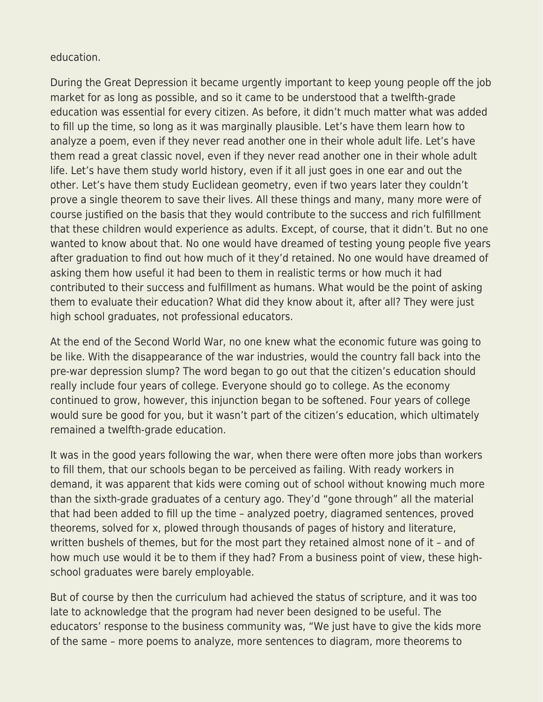## education.

During the Great Depression it became urgently important to keep young people off the job market for as long as possible, and so it came to be understood that a twelfth-grade education was essential for every citizen. As before, it didn't much matter what was added to fill up the time, so long as it was marginally plausible. Let's have them learn how to analyze a poem, even if they never read another one in their whole adult life. Let's have them read a great classic novel, even if they never read another one in their whole adult life. Let's have them study world history, even if it all just goes in one ear and out the other. Let's have them study Euclidean geometry, even if two years later they couldn't prove a single theorem to save their lives. All these things and many, many more were of course justified on the basis that they would contribute to the success and rich fulfillment that these children would experience as adults. Except, of course, that it didn't. But no one wanted to know about that. No one would have dreamed of testing young people five years after graduation to find out how much of it they'd retained. No one would have dreamed of asking them how useful it had been to them in realistic terms or how much it had contributed to their success and fulfillment as humans. What would be the point of asking them to evaluate their education? What did they know about it, after all? They were just high school graduates, not professional educators.

At the end of the Second World War, no one knew what the economic future was going to be like. With the disappearance of the war industries, would the country fall back into the pre-war depression slump? The word began to go out that the citizen's education should really include four years of college. Everyone should go to college. As the economy continued to grow, however, this injunction began to be softened. Four years of college would sure be good for you, but it wasn't part of the citizen's education, which ultimately remained a twelfth-grade education.

It was in the good years following the war, when there were often more jobs than workers to fill them, that our schools began to be perceived as failing. With ready workers in demand, it was apparent that kids were coming out of school without knowing much more than the sixth-grade graduates of a century ago. They'd "gone through" all the material that had been added to fill up the time – analyzed poetry, diagramed sentences, proved theorems, solved for x, plowed through thousands of pages of history and literature, written bushels of themes, but for the most part they retained almost none of it – and of how much use would it be to them if they had? From a business point of view, these highschool graduates were barely employable.

But of course by then the curriculum had achieved the status of scripture, and it was too late to acknowledge that the program had never been designed to be useful. The educators' response to the business community was, "We just have to give the kids more of the same – more poems to analyze, more sentences to diagram, more theorems to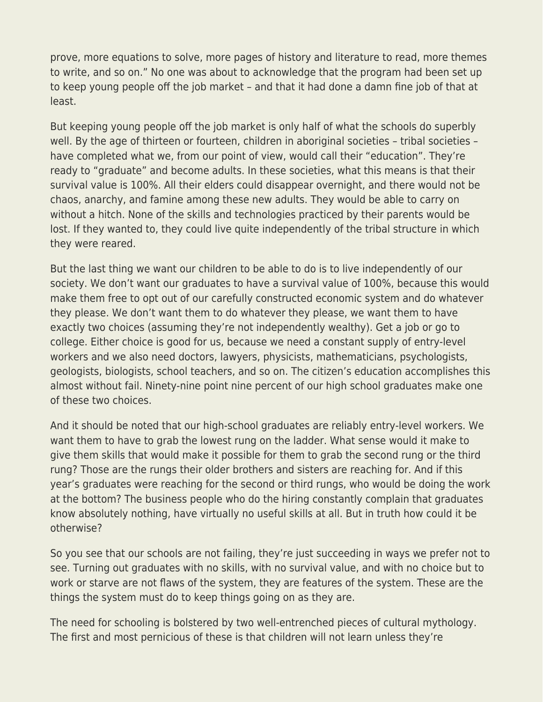prove, more equations to solve, more pages of history and literature to read, more themes to write, and so on." No one was about to acknowledge that the program had been set up to keep young people off the job market – and that it had done a damn fine job of that at least.

But keeping young people off the job market is only half of what the schools do superbly well. By the age of thirteen or fourteen, children in aboriginal societies – tribal societies – have completed what we, from our point of view, would call their "education". They're ready to "graduate" and become adults. In these societies, what this means is that their survival value is 100%. All their elders could disappear overnight, and there would not be chaos, anarchy, and famine among these new adults. They would be able to carry on without a hitch. None of the skills and technologies practiced by their parents would be lost. If they wanted to, they could live quite independently of the tribal structure in which they were reared.

But the last thing we want our children to be able to do is to live independently of our society. We don't want our graduates to have a survival value of 100%, because this would make them free to opt out of our carefully constructed economic system and do whatever they please. We don't want them to do whatever they please, we want them to have exactly two choices (assuming they're not independently wealthy). Get a job or go to college. Either choice is good for us, because we need a constant supply of entry-level workers and we also need doctors, lawyers, physicists, mathematicians, psychologists, geologists, biologists, school teachers, and so on. The citizen's education accomplishes this almost without fail. Ninety-nine point nine percent of our high school graduates make one of these two choices.

And it should be noted that our high-school graduates are reliably entry-level workers. We want them to have to grab the lowest rung on the ladder. What sense would it make to give them skills that would make it possible for them to grab the second rung or the third rung? Those are the rungs their older brothers and sisters are reaching for. And if this year's graduates were reaching for the second or third rungs, who would be doing the work at the bottom? The business people who do the hiring constantly complain that graduates know absolutely nothing, have virtually no useful skills at all. But in truth how could it be otherwise?

So you see that our schools are not failing, they're just succeeding in ways we prefer not to see. Turning out graduates with no skills, with no survival value, and with no choice but to work or starve are not flaws of the system, they are features of the system. These are the things the system must do to keep things going on as they are.

The need for schooling is bolstered by two well-entrenched pieces of cultural mythology. The first and most pernicious of these is that children will not learn unless they're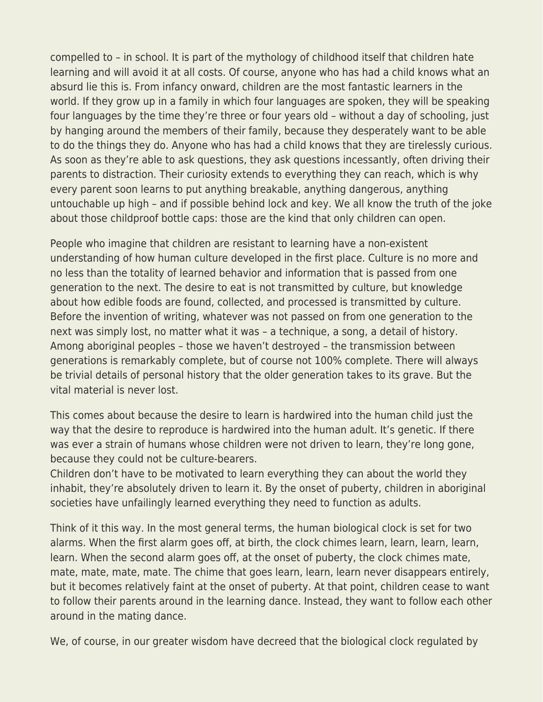compelled to – in school. It is part of the mythology of childhood itself that children hate learning and will avoid it at all costs. Of course, anyone who has had a child knows what an absurd lie this is. From infancy onward, children are the most fantastic learners in the world. If they grow up in a family in which four languages are spoken, they will be speaking four languages by the time they're three or four years old – without a day of schooling, just by hanging around the members of their family, because they desperately want to be able to do the things they do. Anyone who has had a child knows that they are tirelessly curious. As soon as they're able to ask questions, they ask questions incessantly, often driving their parents to distraction. Their curiosity extends to everything they can reach, which is why every parent soon learns to put anything breakable, anything dangerous, anything untouchable up high – and if possible behind lock and key. We all know the truth of the joke about those childproof bottle caps: those are the kind that only children can open.

People who imagine that children are resistant to learning have a non-existent understanding of how human culture developed in the first place. Culture is no more and no less than the totality of learned behavior and information that is passed from one generation to the next. The desire to eat is not transmitted by culture, but knowledge about how edible foods are found, collected, and processed is transmitted by culture. Before the invention of writing, whatever was not passed on from one generation to the next was simply lost, no matter what it was – a technique, a song, a detail of history. Among aboriginal peoples – those we haven't destroyed – the transmission between generations is remarkably complete, but of course not 100% complete. There will always be trivial details of personal history that the older generation takes to its grave. But the vital material is never lost.

This comes about because the desire to learn is hardwired into the human child just the way that the desire to reproduce is hardwired into the human adult. It's genetic. If there was ever a strain of humans whose children were not driven to learn, they're long gone, because they could not be culture-bearers.

Children don't have to be motivated to learn everything they can about the world they inhabit, they're absolutely driven to learn it. By the onset of puberty, children in aboriginal societies have unfailingly learned everything they need to function as adults.

Think of it this way. In the most general terms, the human biological clock is set for two alarms. When the first alarm goes off, at birth, the clock chimes learn, learn, learn, learn, learn. When the second alarm goes off, at the onset of puberty, the clock chimes mate, mate, mate, mate, mate. The chime that goes learn, learn, learn never disappears entirely, but it becomes relatively faint at the onset of puberty. At that point, children cease to want to follow their parents around in the learning dance. Instead, they want to follow each other around in the mating dance.

We, of course, in our greater wisdom have decreed that the biological clock regulated by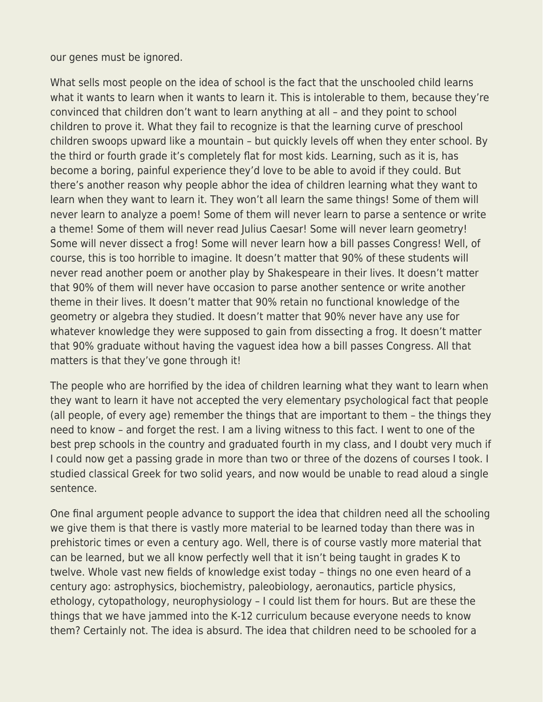## our genes must be ignored.

What sells most people on the idea of school is the fact that the unschooled child learns what it wants to learn when it wants to learn it. This is intolerable to them, because they're convinced that children don't want to learn anything at all – and they point to school children to prove it. What they fail to recognize is that the learning curve of preschool children swoops upward like a mountain – but quickly levels off when they enter school. By the third or fourth grade it's completely flat for most kids. Learning, such as it is, has become a boring, painful experience they'd love to be able to avoid if they could. But there's another reason why people abhor the idea of children learning what they want to learn when they want to learn it. They won't all learn the same things! Some of them will never learn to analyze a poem! Some of them will never learn to parse a sentence or write a theme! Some of them will never read Julius Caesar! Some will never learn geometry! Some will never dissect a frog! Some will never learn how a bill passes Congress! Well, of course, this is too horrible to imagine. It doesn't matter that 90% of these students will never read another poem or another play by Shakespeare in their lives. It doesn't matter that 90% of them will never have occasion to parse another sentence or write another theme in their lives. It doesn't matter that 90% retain no functional knowledge of the geometry or algebra they studied. It doesn't matter that 90% never have any use for whatever knowledge they were supposed to gain from dissecting a frog. It doesn't matter that 90% graduate without having the vaguest idea how a bill passes Congress. All that matters is that they've gone through it!

The people who are horrified by the idea of children learning what they want to learn when they want to learn it have not accepted the very elementary psychological fact that people (all people, of every age) remember the things that are important to them – the things they need to know – and forget the rest. I am a living witness to this fact. I went to one of the best prep schools in the country and graduated fourth in my class, and I doubt very much if I could now get a passing grade in more than two or three of the dozens of courses I took. I studied classical Greek for two solid years, and now would be unable to read aloud a single sentence.

One final argument people advance to support the idea that children need all the schooling we give them is that there is vastly more material to be learned today than there was in prehistoric times or even a century ago. Well, there is of course vastly more material that can be learned, but we all know perfectly well that it isn't being taught in grades K to twelve. Whole vast new fields of knowledge exist today – things no one even heard of a century ago: astrophysics, biochemistry, paleobiology, aeronautics, particle physics, ethology, cytopathology, neurophysiology – I could list them for hours. But are these the things that we have jammed into the K-12 curriculum because everyone needs to know them? Certainly not. The idea is absurd. The idea that children need to be schooled for a